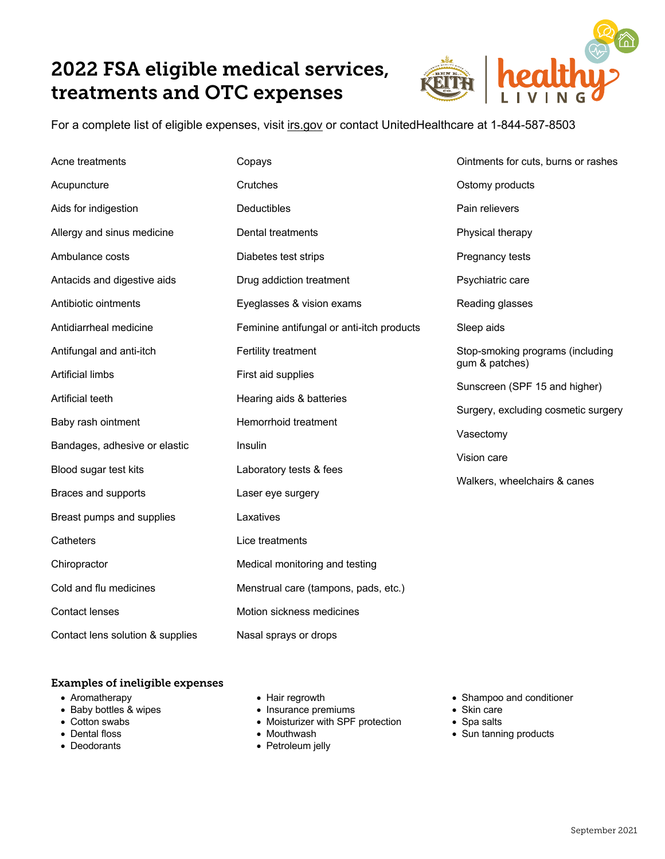## 2022 FSA eligible medical services, treatments and OTC expenses



For a complete list of eligible expenses, visit irs.gov or contact UnitedHealthcare at 1-844-587-8503

| Acne treatments                  | Copays                                       | Ointments for cuts, burns or rashes                |
|----------------------------------|----------------------------------------------|----------------------------------------------------|
| Acupuncture                      | Crutches                                     | Ostomy products                                    |
| Aids for indigestion             | Deductibles                                  | Pain relievers                                     |
| Allergy and sinus medicine       | Dental treatments                            | Physical therapy                                   |
| Ambulance costs                  | Diabetes test strips                         | Pregnancy tests                                    |
| Antacids and digestive aids      | Drug addiction treatment                     | Psychiatric care                                   |
| Antibiotic ointments             | Eyeglasses & vision exams                    | Reading glasses                                    |
| Antidiarrheal medicine           | Feminine antifungal or anti-itch products    | Sleep aids                                         |
| Antifungal and anti-itch         | Fertility treatment                          | Stop-smoking programs (including<br>gum & patches) |
| <b>Artificial limbs</b>          | First aid supplies                           | Sunscreen (SPF 15 and higher)                      |
| Artificial teeth                 | Hearing aids & batteries                     |                                                    |
| Baby rash ointment               | Hemorrhoid treatment                         | Surgery, excluding cosmetic surgery                |
| Bandages, adhesive or elastic    | Insulin                                      | Vasectomy                                          |
| Blood sugar test kits            | Laboratory tests & fees<br>Laser eye surgery | Vision care                                        |
| Braces and supports              |                                              | Walkers, wheelchairs & canes                       |
| Breast pumps and supplies        | Laxatives                                    |                                                    |
| Catheters                        | Lice treatments                              |                                                    |
| Chiropractor                     | Medical monitoring and testing               |                                                    |
| Cold and flu medicines           | Menstrual care (tampons, pads, etc.)         |                                                    |
| <b>Contact lenses</b>            | Motion sickness medicines                    |                                                    |
| Contact lens solution & supplies | Nasal sprays or drops                        |                                                    |

#### Examples of ineligible expenses

- Aromatherapy
- Baby bottles & wipes
- Cotton swabs
- Dental floss
- Deodorants
- Hair regrowth
- Insurance premiums
- Moisturizer with SPF protection
- Mouthwash
- Petroleum jelly
- Shampoo and conditioner
- Skin care
- Spa salts
- Sun tanning products